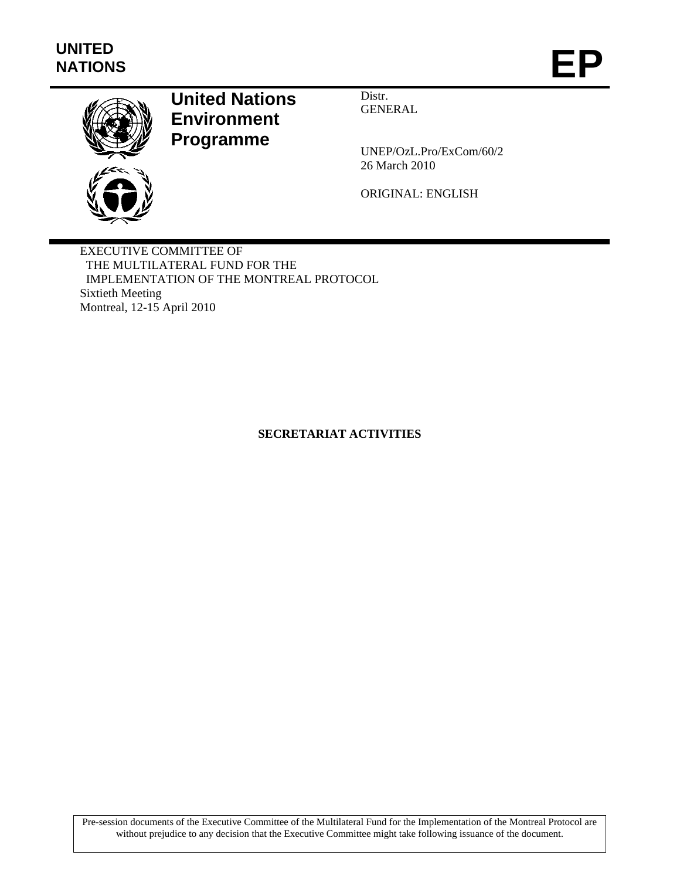

# **United Nations Environment Programme**

Distr. GENERAL

UNEP/OzL.Pro/ExCom/60/2 26 March 2010

ORIGINAL: ENGLISH

EXECUTIVE COMMITTEE OF THE MULTILATERAL FUND FOR THE IMPLEMENTATION OF THE MONTREAL PROTOCOL Sixtieth Meeting Montreal, 12-15 April 2010

# **SECRETARIAT ACTIVITIES**

Pre-session documents of the Executive Committee of the Multilateral Fund for the Implementation of the Montreal Protocol are without prejudice to any decision that the Executive Committee might take following issuance of the document.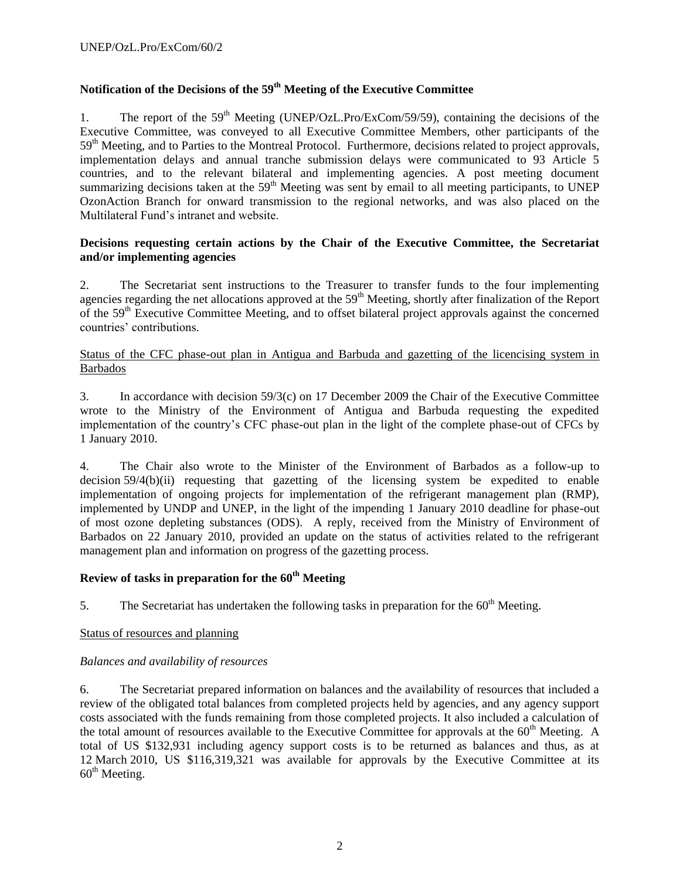# **Notification of the Decisions of the 59th Meeting of the Executive Committee**

1. The report of the  $59<sup>th</sup>$  Meeting (UNEP/OzL.Pro/ExCom/59/59), containing the decisions of the Executive Committee, was conveyed to all Executive Committee Members, other participants of the 59<sup>th</sup> Meeting, and to Parties to the Montreal Protocol. Furthermore, decisions related to project approvals, implementation delays and annual tranche submission delays were communicated to 93 Article 5 countries, and to the relevant bilateral and implementing agencies. A post meeting document summarizing decisions taken at the 59<sup>th</sup> Meeting was sent by email to all meeting participants, to UNEP OzonAction Branch for onward transmission to the regional networks, and was also placed on the Multilateral Fund's intranet and website.

#### **Decisions requesting certain actions by the Chair of the Executive Committee, the Secretariat and/or implementing agencies**

2. The Secretariat sent instructions to the Treasurer to transfer funds to the four implementing agencies regarding the net allocations approved at the  $59<sup>th</sup>$  Meeting, shortly after finalization of the Report of the 59th Executive Committee Meeting, and to offset bilateral project approvals against the concerned countries' contributions.

# Status of the CFC phase-out plan in Antigua and Barbuda and gazetting of the licencising system in Barbados

3. In accordance with decision 59/3(c) on 17 December 2009 the Chair of the Executive Committee wrote to the Ministry of the Environment of Antigua and Barbuda requesting the expedited implementation of the country's CFC phase-out plan in the light of the complete phase-out of CFCs by 1 January 2010.

4. The Chair also wrote to the Minister of the Environment of Barbados as a follow-up to decision 59/4(b)(ii) requesting that gazetting of the licensing system be expedited to enable implementation of ongoing projects for implementation of the refrigerant management plan (RMP), implemented by UNDP and UNEP, in the light of the impending 1 January 2010 deadline for phase-out of most ozone depleting substances (ODS). A reply, received from the Ministry of Environment of Barbados on 22 January 2010, provided an update on the status of activities related to the refrigerant management plan and information on progress of the gazetting process.

# **Review of tasks in preparation for the 60th Meeting**

5. The Secretariat has undertaken the following tasks in preparation for the  $60<sup>th</sup>$  Meeting.

#### Status of resources and planning

#### *Balances and availability of resources*

6. The Secretariat prepared information on balances and the availability of resources that included a review of the obligated total balances from completed projects held by agencies, and any agency support costs associated with the funds remaining from those completed projects. It also included a calculation of the total amount of resources available to the Executive Committee for approvals at the  $60<sup>th</sup>$  Meeting. A total of US \$132,931 including agency support costs is to be returned as balances and thus, as at 12 March 2010, US \$116,319,321 was available for approvals by the Executive Committee at its  $60<sup>th</sup>$  Meeting.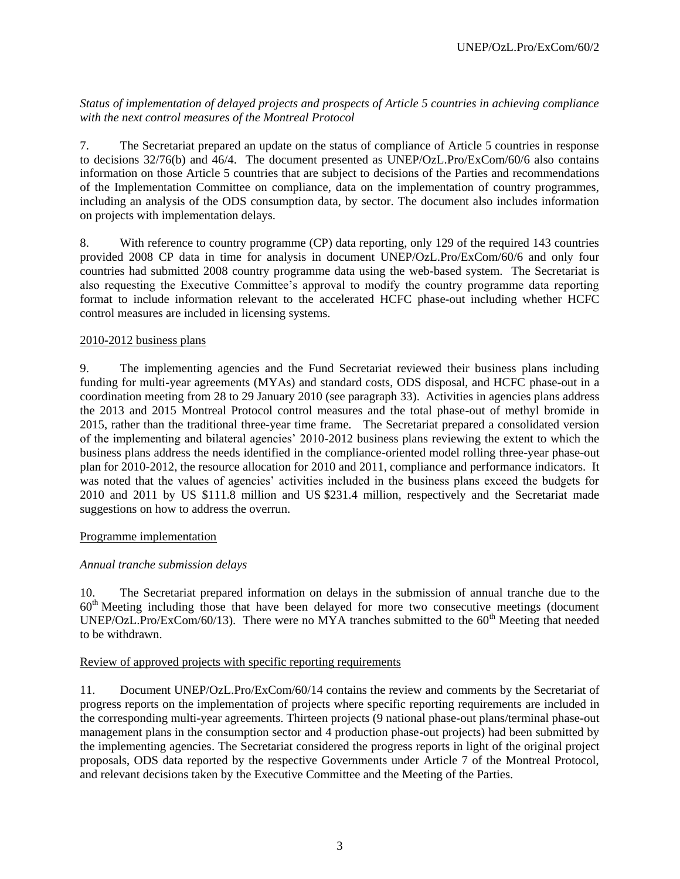*Status of implementation of delayed projects and prospects of Article 5 countries in achieving compliance with the next control measures of the Montreal Protocol*

7. The Secretariat prepared an update on the status of compliance of Article 5 countries in response to decisions 32/76(b) and 46/4. The document presented as UNEP/OzL.Pro/ExCom/60/6 also contains information on those Article 5 countries that are subject to decisions of the Parties and recommendations of the Implementation Committee on compliance, data on the implementation of country programmes, including an analysis of the ODS consumption data, by sector. The document also includes information on projects with implementation delays.

8. With reference to country programme (CP) data reporting, only 129 of the required 143 countries provided 2008 CP data in time for analysis in document UNEP/OzL.Pro/ExCom/60/6 and only four countries had submitted 2008 country programme data using the web-based system. The Secretariat is also requesting the Executive Committee's approval to modify the country programme data reporting format to include information relevant to the accelerated HCFC phase-out including whether HCFC control measures are included in licensing systems.

#### 2010-2012 business plans

9. The implementing agencies and the Fund Secretariat reviewed their business plans including funding for multi-year agreements (MYAs) and standard costs, ODS disposal, and HCFC phase-out in a coordination meeting from 28 to 29 January 2010 (see paragraph 33). Activities in agencies plans address the 2013 and 2015 Montreal Protocol control measures and the total phase-out of methyl bromide in 2015, rather than the traditional three-year time frame. The Secretariat prepared a consolidated version of the implementing and bilateral agencies' 2010-2012 business plans reviewing the extent to which the business plans address the needs identified in the compliance-oriented model rolling three-year phase-out plan for 2010-2012, the resource allocation for 2010 and 2011, compliance and performance indicators. It was noted that the values of agencies' activities included in the business plans exceed the budgets for 2010 and 2011 by US \$111.8 million and US \$231.4 million, respectively and the Secretariat made suggestions on how to address the overrun.

#### Programme implementation

# *Annual tranche submission delays*

10. The Secretariat prepared information on delays in the submission of annual tranche due to the  $60<sup>th</sup>$  Meeting including those that have been delayed for more two consecutive meetings (document UNEP/OzL.Pro/ExCom/60/13). There were no MYA tranches submitted to the  $60<sup>th</sup>$  Meeting that needed to be withdrawn.

#### Review of approved projects with specific reporting requirements

11. Document UNEP/OzL.Pro/ExCom/60/14 contains the review and comments by the Secretariat of progress reports on the implementation of projects where specific reporting requirements are included in the corresponding multi-year agreements. Thirteen projects (9 national phase-out plans/terminal phase-out management plans in the consumption sector and 4 production phase-out projects) had been submitted by the implementing agencies. The Secretariat considered the progress reports in light of the original project proposals, ODS data reported by the respective Governments under Article 7 of the Montreal Protocol, and relevant decisions taken by the Executive Committee and the Meeting of the Parties.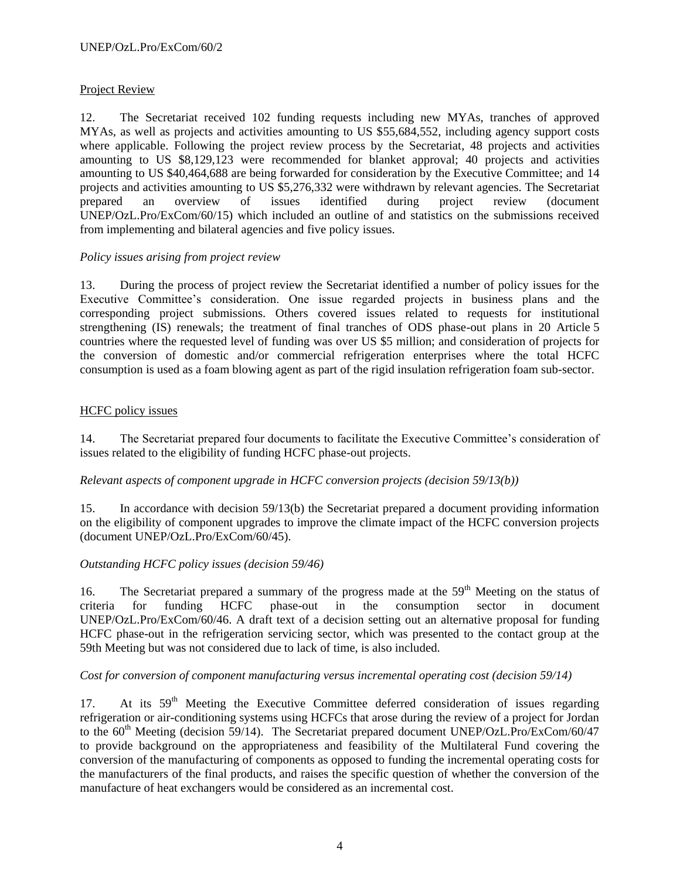# Project Review

12. The Secretariat received 102 funding requests including new MYAs, tranches of approved MYAs, as well as projects and activities amounting to US \$55,684,552, including agency support costs where applicable. Following the project review process by the Secretariat, 48 projects and activities amounting to US \$8,129,123 were recommended for blanket approval; 40 projects and activities amounting to US \$40,464,688 are being forwarded for consideration by the Executive Committee; and 14 projects and activities amounting to US \$5,276,332 were withdrawn by relevant agencies. The Secretariat prepared an overview of issues identified during project review (document prepared an overview of issues identified during project review (document UNEP/OzL.Pro/ExCom/60/15) which included an outline of and statistics on the submissions received from implementing and bilateral agencies and five policy issues.

# *Policy issues arising from project review*

13. During the process of project review the Secretariat identified a number of policy issues for the Executive Committee's consideration. One issue regarded projects in business plans and the corresponding project submissions. Others covered issues related to requests for institutional strengthening (IS) renewals; the treatment of final tranches of ODS phase-out plans in 20 Article 5 countries where the requested level of funding was over US \$5 million; and consideration of projects for the conversion of domestic and/or commercial refrigeration enterprises where the total HCFC consumption is used as a foam blowing agent as part of the rigid insulation refrigeration foam sub-sector.

# HCFC policy issues

14. The Secretariat prepared four documents to facilitate the Executive Committee's consideration of issues related to the eligibility of funding HCFC phase-out projects.

# *Relevant aspects of component upgrade in HCFC conversion projects (decision 59/13(b))*

15. In accordance with decision 59/13(b) the Secretariat prepared a document providing information on the eligibility of component upgrades to improve the climate impact of the HCFC conversion projects (document UNEP/OzL.Pro/ExCom/60/45).

# *Outstanding HCFC policy issues (decision 59/46)*

16. The Secretariat prepared a summary of the progress made at the 59<sup>th</sup> Meeting on the status of criteria for funding HCFC phase-out in the consumption sector in document UNEP/OzL.Pro/ExCom/60/46. A draft text of a decision setting out an alternative proposal for funding HCFC phase-out in the refrigeration servicing sector, which was presented to the contact group at the 59th Meeting but was not considered due to lack of time, is also included.

# *Cost for conversion of component manufacturing versus incremental operating cost (decision 59/14)*

17. At its 59<sup>th</sup> Meeting the Executive Committee deferred consideration of issues regarding refrigeration or air-conditioning systems using HCFCs that arose during the review of a project for Jordan to the 60<sup>th</sup> Meeting (decision 59/14). The Secretariat prepared document UNEP/OzL.Pro/ExCom/60/47 to provide background on the appropriateness and feasibility of the Multilateral Fund covering the conversion of the manufacturing of components as opposed to funding the incremental operating costs for the manufacturers of the final products, and raises the specific question of whether the conversion of the manufacture of heat exchangers would be considered as an incremental cost.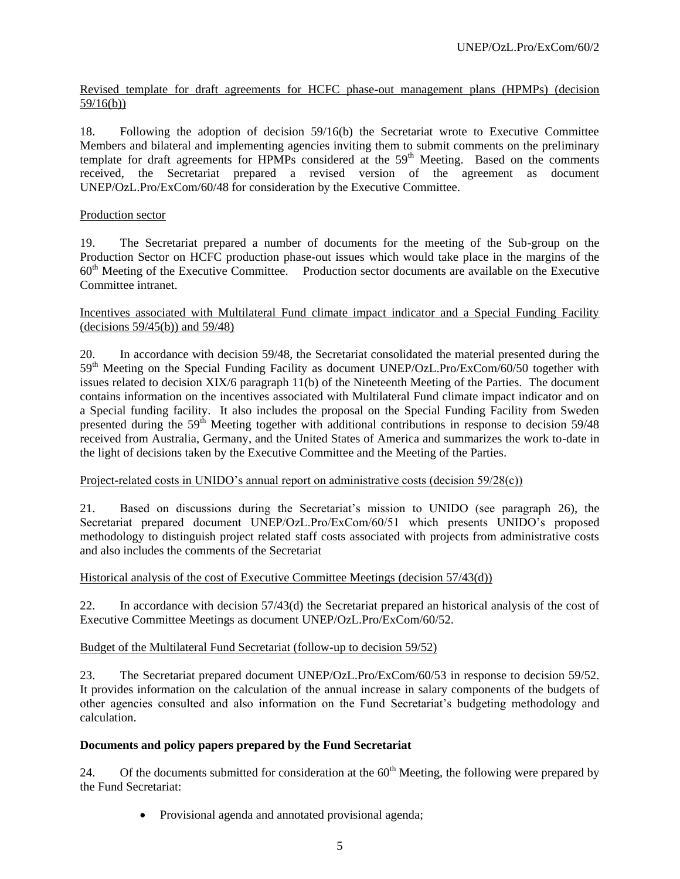Revised template for draft agreements for HCFC phase-out management plans (HPMPs) (decision 59/16(b))

18. Following the adoption of decision 59/16(b) the Secretariat wrote to Executive Committee Members and bilateral and implementing agencies inviting them to submit comments on the preliminary template for draft agreements for HPMPs considered at the  $59<sup>th</sup>$  Meeting. Based on the comments received, the Secretariat prepared a revised version of the agreement as document UNEP/OzL.Pro/ExCom/60/48 for consideration by the Executive Committee.

#### Production sector

19. The Secretariat prepared a number of documents for the meeting of the Sub-group on the Production Sector on HCFC production phase-out issues which would take place in the margins of the 60th Meeting of the Executive Committee. Production sector documents are available on the Executive Committee intranet.

#### Incentives associated with Multilateral Fund climate impact indicator and a Special Funding Facility (decisions 59/45(b)) and 59/48)

20. In accordance with decision 59/48, the Secretariat consolidated the material presented during the 59<sup>th</sup> Meeting on the Special Funding Facility as document UNEP/OzL.Pro/ExCom/60/50 together with issues related to decision XIX/6 paragraph 11(b) of the Nineteenth Meeting of the Parties. The document contains information on the incentives associated with Multilateral Fund climate impact indicator and on a Special funding facility. It also includes the proposal on the Special Funding Facility from Sweden presented during the 59<sup>th</sup> Meeting together with additional contributions in response to decision 59/48 received from Australia, Germany, and the United States of America and summarizes the work to-date in the light of decisions taken by the Executive Committee and the Meeting of the Parties.

#### Project-related costs in UNIDO's annual report on administrative costs (decision 59/28(c))

21. Based on discussions during the Secretariat's mission to UNIDO (see paragraph 26), the Secretariat prepared document UNEP/OzL.Pro/ExCom/60/51 which presents UNIDO's proposed methodology to distinguish project related staff costs associated with projects from administrative costs and also includes the comments of the Secretariat

#### Historical analysis of the cost of Executive Committee Meetings (decision 57/43(d))

22. In accordance with decision 57/43(d) the Secretariat prepared an historical analysis of the cost of Executive Committee Meetings as document UNEP/OzL.Pro/ExCom/60/52.

#### Budget of the Multilateral Fund Secretariat (follow-up to decision 59/52)

23. The Secretariat prepared document UNEP/OzL.Pro/ExCom/60/53 in response to decision 59/52. It provides information on the calculation of the annual increase in salary components of the budgets of other agencies consulted and also information on the Fund Secretariat's budgeting methodology and calculation.

#### **Documents and policy papers prepared by the Fund Secretariat**

24. Of the documents submitted for consideration at the  $60<sup>th</sup>$  Meeting, the following were prepared by the Fund Secretariat:

• Provisional agenda and annotated provisional agenda;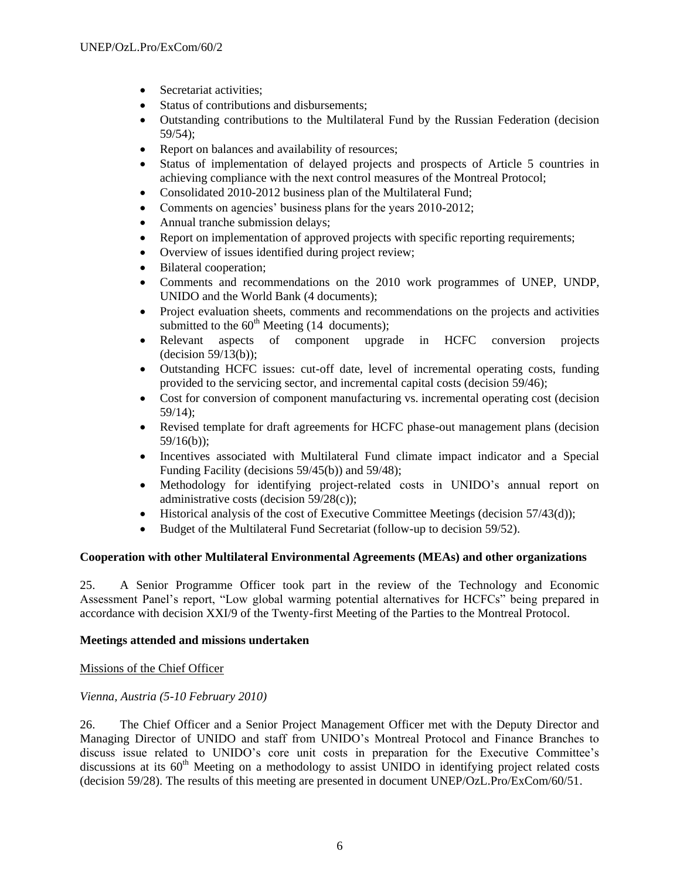- Secretariat activities:
- Status of contributions and disbursements;
- Outstanding contributions to the Multilateral Fund by the Russian Federation (decision 59/54);
- Report on balances and availability of resources;
- Status of implementation of delayed projects and prospects of Article 5 countries in achieving compliance with the next control measures of the Montreal Protocol;
- Consolidated 2010-2012 business plan of the Multilateral Fund;
- Comments on agencies' business plans for the years 2010-2012;
- Annual tranche submission delays;
- Report on implementation of approved projects with specific reporting requirements;
- Overview of issues identified during project review;
- Bilateral cooperation;
- Comments and recommendations on the 2010 work programmes of UNEP, UNDP, UNIDO and the World Bank (4 documents);
- Project evaluation sheets, comments and recommendations on the projects and activities submitted to the  $60<sup>th</sup>$  Meeting (14 documents);
- Relevant aspects of component upgrade in HCFC conversion projects (decision 59/13(b));
- Outstanding HCFC issues: cut-off date, level of incremental operating costs, funding provided to the servicing sector, and incremental capital costs (decision 59/46);
- Cost for conversion of component manufacturing vs. incremental operating cost (decision 59/14);
- Revised template for draft agreements for HCFC phase-out management plans (decision 59/16(b));
- Incentives associated with Multilateral Fund climate impact indicator and a Special Funding Facility (decisions 59/45(b)) and 59/48);
- Methodology for identifying project-related costs in UNIDO's annual report on administrative costs (decision 59/28(c));
- Historical analysis of the cost of Executive Committee Meetings (decision 57/43(d));
- Budget of the Multilateral Fund Secretariat (follow-up to decision 59/52).

#### **Cooperation with other Multilateral Environmental Agreements (MEAs) and other organizations**

25. A Senior Programme Officer took part in the review of the Technology and Economic Assessment Panel's report, "Low global warming potential alternatives for HCFCs" being prepared in accordance with decision XXI/9 of the Twenty-first Meeting of the Parties to the Montreal Protocol.

#### **Meetings attended and missions undertaken**

Missions of the Chief Officer

#### *Vienna, Austria (5-10 February 2010)*

26. The Chief Officer and a Senior Project Management Officer met with the Deputy Director and Managing Director of UNIDO and staff from UNIDO's Montreal Protocol and Finance Branches to discuss issue related to UNIDO's core unit costs in preparation for the Executive Committee's discussions at its  $60<sup>th</sup>$  Meeting on a methodology to assist UNIDO in identifying project related costs (decision 59/28). The results of this meeting are presented in document UNEP/OzL.Pro/ExCom/60/51.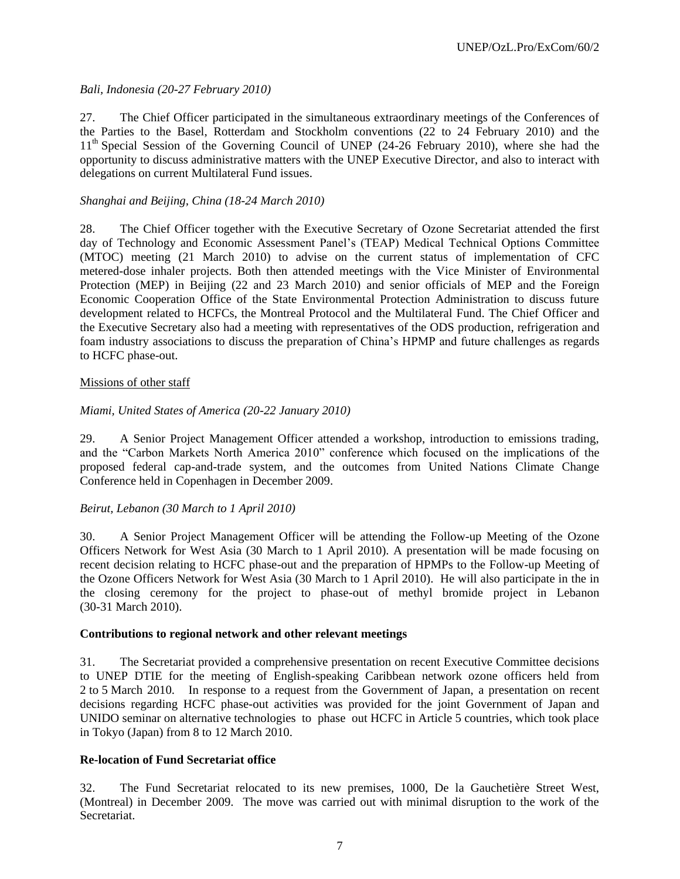# *Bali, Indonesia (20-27 February 2010)*

27. The Chief Officer participated in the simultaneous extraordinary meetings of the Conferences of the Parties to the Basel, Rotterdam and Stockholm conventions (22 to 24 February 2010) and the 11<sup>th</sup> Special Session of the Governing Council of UNEP (24-26 February 2010), where she had the opportunity to discuss administrative matters with the UNEP Executive Director, and also to interact with delegations on current Multilateral Fund issues.

# *Shanghai and Beijing, China (18-24 March 2010)*

28. The Chief Officer together with the Executive Secretary of Ozone Secretariat attended the first day of Technology and Economic Assessment Panel's (TEAP) Medical Technical Options Committee (MTOC) meeting (21 March 2010) to advise on the current status of implementation of CFC metered-dose inhaler projects. Both then attended meetings with the Vice Minister of Environmental Protection (MEP) in Beijing (22 and 23 March 2010) and senior officials of MEP and the Foreign Economic Cooperation Office of the State Environmental Protection Administration to discuss future development related to HCFCs, the Montreal Protocol and the Multilateral Fund. The Chief Officer and the Executive Secretary also had a meeting with representatives of the ODS production, refrigeration and foam industry associations to discuss the preparation of China's HPMP and future challenges as regards to HCFC phase-out.

# Missions of other staff

# *Miami, United States of America (20-22 January 2010)*

29. A Senior Project Management Officer attended a workshop, introduction to emissions trading, and the "Carbon Markets North America 2010" conference which focused on the implications of the proposed federal cap-and-trade system, and the outcomes from United Nations Climate Change Conference held in Copenhagen in December 2009.

#### *Beirut, Lebanon (30 March to 1 April 2010)*

30. A Senior Project Management Officer will be attending the Follow-up Meeting of the Ozone Officers Network for West Asia (30 March to 1 April 2010). A presentation will be made focusing on recent decision relating to HCFC phase-out and the preparation of HPMPs to the Follow-up Meeting of the Ozone Officers Network for West Asia (30 March to 1 April 2010). He will also participate in the in the closing ceremony for the project to phase-out of methyl bromide project in Lebanon (30-31 March 2010).

#### **Contributions to regional network and other relevant meetings**

31. The Secretariat provided a comprehensive presentation on recent Executive Committee decisions to UNEP DTIE for the meeting of English-speaking Caribbean network ozone officers held from 2 to 5 March 2010. In response to a request from the Government of Japan, a presentation on recent decisions regarding HCFC phase-out activities was provided for the joint Government of Japan and UNIDO seminar on alternative technologies to phase out HCFC in Article 5 countries, which took place in Tokyo (Japan) from 8 to 12 March 2010.

#### **Re-location of Fund Secretariat office**

32. The Fund Secretariat relocated to its new premises, 1000, De la Gauchetière Street West, (Montreal) in December 2009. The move was carried out with minimal disruption to the work of the Secretariat.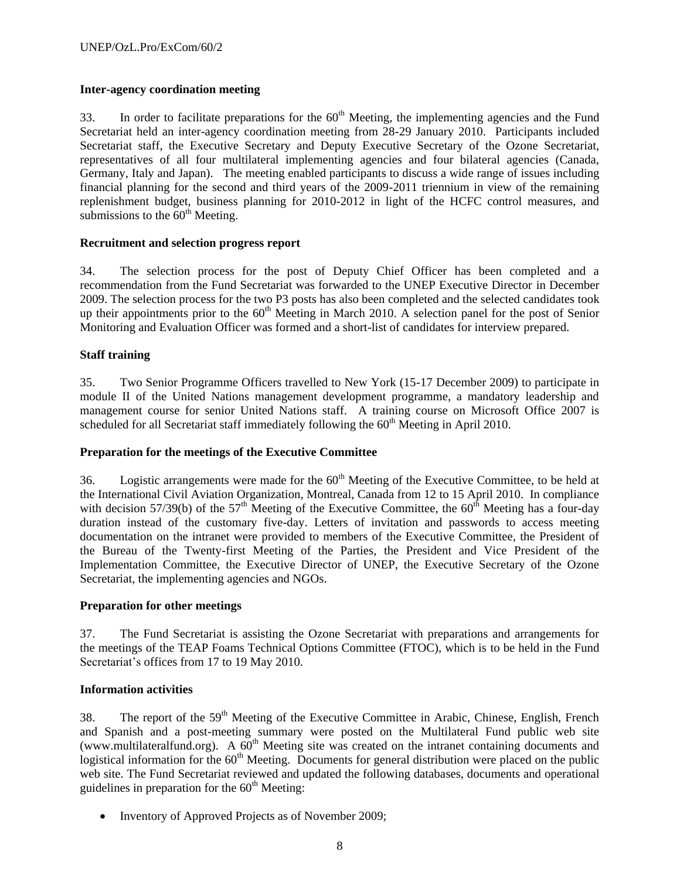# **Inter-agency coordination meeting**

33. In order to facilitate preparations for the  $60<sup>th</sup>$  Meeting, the implementing agencies and the Fund Secretariat held an inter-agency coordination meeting from 28-29 January 2010. Participants included Secretariat staff, the Executive Secretary and Deputy Executive Secretary of the Ozone Secretariat, representatives of all four multilateral implementing agencies and four bilateral agencies (Canada, Germany, Italy and Japan). The meeting enabled participants to discuss a wide range of issues including financial planning for the second and third years of the 2009-2011 triennium in view of the remaining replenishment budget, business planning for 2010-2012 in light of the HCFC control measures, and submissions to the  $60<sup>th</sup>$  Meeting.

#### **Recruitment and selection progress report**

34. The selection process for the post of Deputy Chief Officer has been completed and a recommendation from the Fund Secretariat was forwarded to the UNEP Executive Director in December 2009. The selection process for the two P3 posts has also been completed and the selected candidates took up their appointments prior to the  $60<sup>th</sup>$  Meeting in March 2010. A selection panel for the post of Senior Monitoring and Evaluation Officer was formed and a short-list of candidates for interview prepared.

# **Staff training**

35. Two Senior Programme Officers travelled to New York (15-17 December 2009) to participate in module II of the United Nations management development programme, a mandatory leadership and management course for senior United Nations staff. A training course on Microsoft Office 2007 is scheduled for all Secretariat staff immediately following the  $60<sup>th</sup>$  Meeting in April 2010.

#### **Preparation for the meetings of the Executive Committee**

36. Logistic arrangements were made for the  $60<sup>th</sup>$  Meeting of the Executive Committee, to be held at the International Civil Aviation Organization, Montreal, Canada from 12 to 15 April 2010. In compliance with decision 57/39(b) of the 57<sup>th</sup> Meeting of the Executive Committee, the 60<sup>th</sup> Meeting has a four-day duration instead of the customary five-day. Letters of invitation and passwords to access meeting documentation on the intranet were provided to members of the Executive Committee, the President of the Bureau of the Twenty-first Meeting of the Parties, the President and Vice President of the Implementation Committee, the Executive Director of UNEP, the Executive Secretary of the Ozone Secretariat, the implementing agencies and NGOs.

#### **Preparation for other meetings**

37. The Fund Secretariat is assisting the Ozone Secretariat with preparations and arrangements for the meetings of the TEAP Foams Technical Options Committee (FTOC), which is to be held in the Fund Secretariat's offices from 17 to 19 May 2010.

#### **Information activities**

38. The report of the 59<sup>th</sup> Meeting of the Executive Committee in Arabic, Chinese, English, French and Spanish and a post-meeting summary were posted on the Multilateral Fund public web site [\(www.multilateralfund.org\)](http://www.multilateralfund.org/). A  $60<sup>th</sup>$  Meeting site was created on the intranet containing documents and logistical information for the  $60<sup>th</sup>$  Meeting. Documents for general distribution were placed on the public web site. The Fund Secretariat reviewed and updated the following databases, documents and operational guidelines in preparation for the  $60<sup>th</sup>$  Meeting:

• Inventory of Approved Projects as of November 2009;